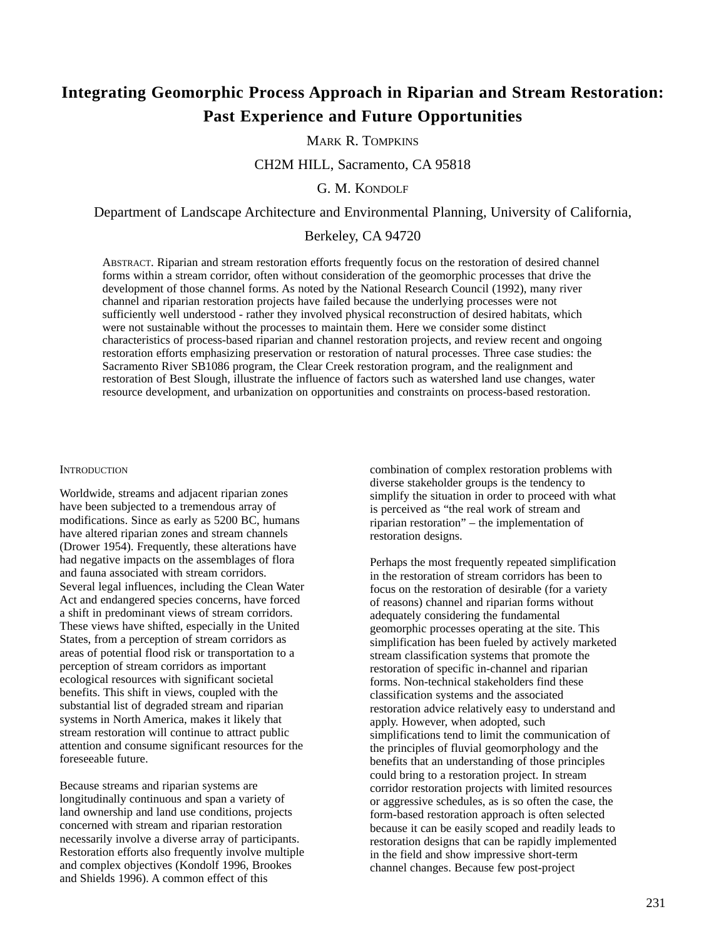# **Integrating Geomorphic Process Approach in Riparian and Stream Restoration: Past Experience and Future Opportunities**

MARK R. TOMPKINS

CH2M HILL, Sacramento, CA 95818

G. M. KONDOLF

Department of Landscape Architecture and Environmental Planning, University of California,

# Berkeley, CA 94720

ABSTRACT. Riparian and stream restoration efforts frequently focus on the restoration of desired channel forms within a stream corridor, often without consideration of the geomorphic processes that drive the development of those channel forms. As noted by the National Research Council (1992), many river channel and riparian restoration projects have failed because the underlying processes were not sufficiently well understood - rather they involved physical reconstruction of desired habitats, which were not sustainable without the processes to maintain them. Here we consider some distinct characteristics of process-based riparian and channel restoration projects, and review recent and ongoing restoration efforts emphasizing preservation or restoration of natural processes. Three case studies: the Sacramento River SB1086 program, the Clear Creek restoration program, and the realignment and restoration of Best Slough, illustrate the influence of factors such as watershed land use changes, water resource development, and urbanization on opportunities and constraints on process-based restoration.

#### **INTRODUCTION**

Worldwide, streams and adjacent riparian zones have been subjected to a tremendous array of modifications. Since as early as 5200 BC, humans have altered riparian zones and stream channels (Drower 1954). Frequently, these alterations have had negative impacts on the assemblages of flora and fauna associated with stream corridors. Several legal influences, including the Clean Water Act and endangered species concerns, have forced a shift in predominant views of stream corridors. These views have shifted, especially in the United States, from a perception of stream corridors as areas of potential flood risk or transportation to a perception of stream corridors as important ecological resources with significant societal benefits. This shift in views, coupled with the substantial list of degraded stream and riparian systems in North America, makes it likely that stream restoration will continue to attract public attention and consume significant resources for the foreseeable future.

Because streams and riparian systems are longitudinally continuous and span a variety of land ownership and land use conditions, projects concerned with stream and riparian restoration necessarily involve a diverse array of participants. Restoration efforts also frequently involve multiple and complex objectives (Kondolf 1996, Brookes and Shields 1996). A common effect of this

combination of complex restoration problems with diverse stakeholder groups is the tendency to simplify the situation in order to proceed with what is perceived as "the real work of stream and riparian restoration" – the implementation of restoration designs.

Perhaps the most frequently repeated simplification in the restoration of stream corridors has been to focus on the restoration of desirable (for a variety of reasons) channel and riparian forms without adequately considering the fundamental geomorphic processes operating at the site. This simplification has been fueled by actively marketed stream classification systems that promote the restoration of specific in-channel and riparian forms. Non-technical stakeholders find these classification systems and the associated restoration advice relatively easy to understand and apply. However, when adopted, such simplifications tend to limit the communication of the principles of fluvial geomorphology and the benefits that an understanding of those principles could bring to a restoration project. In stream corridor restoration projects with limited resources or aggressive schedules, as is so often the case, the form-based restoration approach is often selected because it can be easily scoped and readily leads to restoration designs that can be rapidly implemented in the field and show impressive short-term channel changes. Because few post-project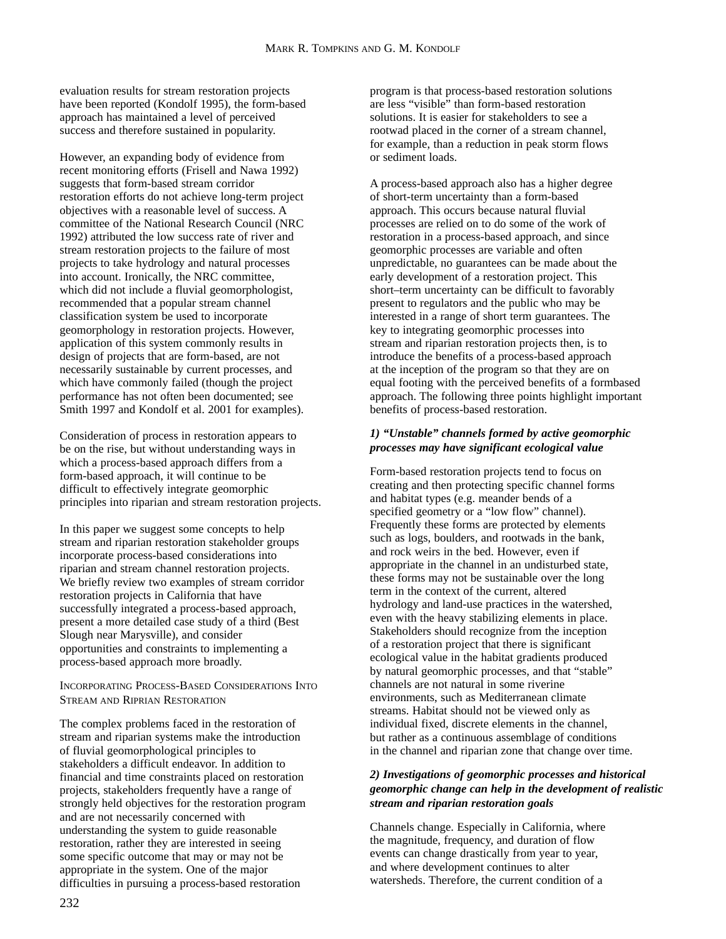evaluation results for stream restoration projects have been reported (Kondolf 1995), the form-based approach has maintained a level of perceived success and therefore sustained in popularity.

However, an expanding body of evidence from recent monitoring efforts (Frisell and Nawa 1992) suggests that form-based stream corridor restoration efforts do not achieve long-term project objectives with a reasonable level of success. A committee of the National Research Council (NRC 1992) attributed the low success rate of river and stream restoration projects to the failure of most projects to take hydrology and natural processes into account. Ironically, the NRC committee, which did not include a fluvial geomorphologist, recommended that a popular stream channel classification system be used to incorporate geomorphology in restoration projects. However, application of this system commonly results in design of projects that are form-based, are not necessarily sustainable by current processes, and which have commonly failed (though the project performance has not often been documented; see Smith 1997 and Kondolf et al. 2001 for examples).

Consideration of process in restoration appears to be on the rise, but without understanding ways in which a process-based approach differs from a form-based approach, it will continue to be difficult to effectively integrate geomorphic principles into riparian and stream restoration projects.

In this paper we suggest some concepts to help stream and riparian restoration stakeholder groups incorporate process-based considerations into riparian and stream channel restoration projects. We briefly review two examples of stream corridor restoration projects in California that have successfully integrated a process-based approach, present a more detailed case study of a third (Best Slough near Marysville), and consider opportunities and constraints to implementing a process-based approach more broadly.

INCORPORATING PROCESS-BASED CONSIDERATIONS INTO STREAM AND RIPRIAN RESTORATION

The complex problems faced in the restoration of stream and riparian systems make the introduction of fluvial geomorphological principles to stakeholders a difficult endeavor. In addition to financial and time constraints placed on restoration projects, stakeholders frequently have a range of strongly held objectives for the restoration program and are not necessarily concerned with understanding the system to guide reasonable restoration, rather they are interested in seeing some specific outcome that may or may not be appropriate in the system. One of the major difficulties in pursuing a process-based restoration

program is that process-based restoration solutions are less "visible" than form-based restoration solutions. It is easier for stakeholders to see a rootwad placed in the corner of a stream channel, for example, than a reduction in peak storm flows or sediment loads.

A process-based approach also has a higher degree of short-term uncertainty than a form-based approach. This occurs because natural fluvial processes are relied on to do some of the work of restoration in a process-based approach, and since geomorphic processes are variable and often unpredictable, no guarantees can be made about the early development of a restoration project. This short–term uncertainty can be difficult to favorably present to regulators and the public who may be interested in a range of short term guarantees. The key to integrating geomorphic processes into stream and riparian restoration projects then, is to introduce the benefits of a process-based approach at the inception of the program so that they are on equal footing with the perceived benefits of a formbased approach. The following three points highlight important benefits of process-based restoration.

## *1) "Unstable" channels formed by active geomorphic processes may have significant ecological value*

Form-based restoration projects tend to focus on creating and then protecting specific channel forms and habitat types (e.g. meander bends of a specified geometry or a "low flow" channel). Frequently these forms are protected by elements such as logs, boulders, and rootwads in the bank, and rock weirs in the bed. However, even if appropriate in the channel in an undisturbed state, these forms may not be sustainable over the long term in the context of the current, altered hydrology and land-use practices in the watershed, even with the heavy stabilizing elements in place. Stakeholders should recognize from the inception of a restoration project that there is significant ecological value in the habitat gradients produced by natural geomorphic processes, and that "stable" channels are not natural in some riverine environments, such as Mediterranean climate streams. Habitat should not be viewed only as individual fixed, discrete elements in the channel, but rather as a continuous assemblage of conditions in the channel and riparian zone that change over time.

## *2) Investigations of geomorphic processes and historical geomorphic change can help in the development of realistic stream and riparian restoration goals*

Channels change. Especially in California, where the magnitude, frequency, and duration of flow events can change drastically from year to year, and where development continues to alter watersheds. Therefore, the current condition of a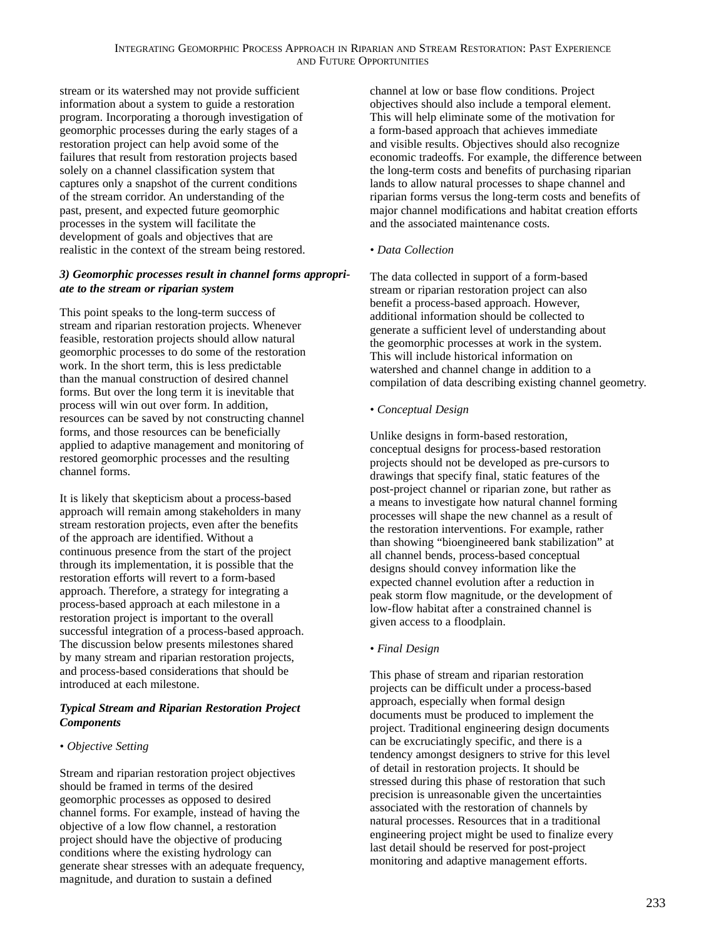stream or its watershed may not provide sufficient information about a system to guide a restoration program. Incorporating a thorough investigation of geomorphic processes during the early stages of a restoration project can help avoid some of the failures that result from restoration projects based solely on a channel classification system that captures only a snapshot of the current conditions of the stream corridor. An understanding of the past, present, and expected future geomorphic processes in the system will facilitate the development of goals and objectives that are realistic in the context of the stream being restored.

## *3) Geomorphic processes result in channel forms appropriate to the stream or riparian system*

This point speaks to the long-term success of stream and riparian restoration projects. Whenever feasible, restoration projects should allow natural geomorphic processes to do some of the restoration work. In the short term, this is less predictable than the manual construction of desired channel forms. But over the long term it is inevitable that process will win out over form. In addition, resources can be saved by not constructing channel forms, and those resources can be beneficially applied to adaptive management and monitoring of restored geomorphic processes and the resulting channel forms.

It is likely that skepticism about a process-based approach will remain among stakeholders in many stream restoration projects, even after the benefits of the approach are identified. Without a continuous presence from the start of the project through its implementation, it is possible that the restoration efforts will revert to a form-based approach. Therefore, a strategy for integrating a process-based approach at each milestone in a restoration project is important to the overall successful integration of a process-based approach. The discussion below presents milestones shared by many stream and riparian restoration projects, and process-based considerations that should be introduced at each milestone.

# *Typical Stream and Riparian Restoration Project Components*

## *• Objective Setting*

Stream and riparian restoration project objectives should be framed in terms of the desired geomorphic processes as opposed to desired channel forms. For example, instead of having the objective of a low flow channel, a restoration project should have the objective of producing conditions where the existing hydrology can generate shear stresses with an adequate frequency, magnitude, and duration to sustain a defined

channel at low or base flow conditions. Project objectives should also include a temporal element. This will help eliminate some of the motivation for a form-based approach that achieves immediate and visible results. Objectives should also recognize economic tradeoffs. For example, the difference between the long-term costs and benefits of purchasing riparian lands to allow natural processes to shape channel and riparian forms versus the long-term costs and benefits of major channel modifications and habitat creation efforts and the associated maintenance costs.

# *• Data Collection*

The data collected in support of a form-based stream or riparian restoration project can also benefit a process-based approach. However, additional information should be collected to generate a sufficient level of understanding about the geomorphic processes at work in the system. This will include historical information on watershed and channel change in addition to a compilation of data describing existing channel geometry.

## *• Conceptual Design*

Unlike designs in form-based restoration, conceptual designs for process-based restoration projects should not be developed as pre-cursors to drawings that specify final, static features of the post-project channel or riparian zone, but rather as a means to investigate how natural channel forming processes will shape the new channel as a result of the restoration interventions. For example, rather than showing "bioengineered bank stabilization" at all channel bends, process-based conceptual designs should convey information like the expected channel evolution after a reduction in peak storm flow magnitude, or the development of low-flow habitat after a constrained channel is given access to a floodplain.

# *• Final Design*

This phase of stream and riparian restoration projects can be difficult under a process-based approach, especially when formal design documents must be produced to implement the project. Traditional engineering design documents can be excruciatingly specific, and there is a tendency amongst designers to strive for this level of detail in restoration projects. It should be stressed during this phase of restoration that such precision is unreasonable given the uncertainties associated with the restoration of channels by natural processes. Resources that in a traditional engineering project might be used to finalize every last detail should be reserved for post-project monitoring and adaptive management efforts.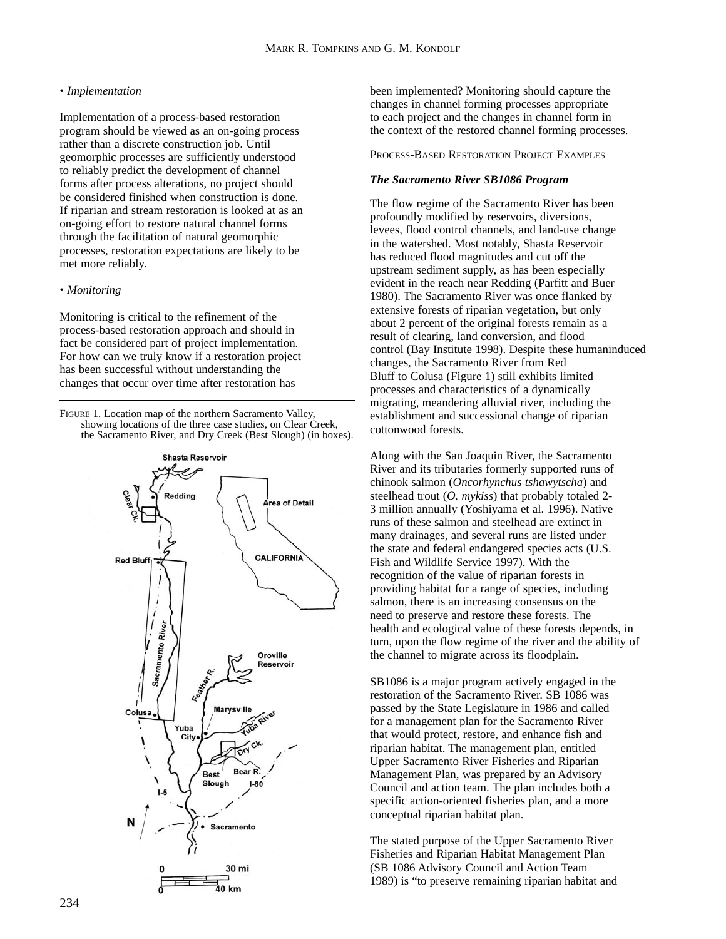#### *• Implementation*

Implementation of a process-based restoration program should be viewed as an on-going process rather than a discrete construction job. Until geomorphic processes are sufficiently understood to reliably predict the development of channel forms after process alterations, no project should be considered finished when construction is done. If riparian and stream restoration is looked at as an on-going effort to restore natural channel forms through the facilitation of natural geomorphic processes, restoration expectations are likely to be met more reliably.

#### *• Monitoring*

Monitoring is critical to the refinement of the process-based restoration approach and should in fact be considered part of project implementation. For how can we truly know if a restoration project has been successful without understanding the changes that occur over time after restoration has

FIGURE 1. Location map of the northern Sacramento Valley, showing locations of the three case studies, on Clear Creek, the Sacramento River, and Dry Creek (Best Slough) (in boxes).



been implemented? Monitoring should capture the changes in channel forming processes appropriate to each project and the changes in channel form in the context of the restored channel forming processes.

PROCESS-BASED RESTORATION PROJECT EXAMPLES

#### *The Sacramento River SB1086 Program*

The flow regime of the Sacramento River has been profoundly modified by reservoirs, diversions, levees, flood control channels, and land-use change in the watershed. Most notably, Shasta Reservoir has reduced flood magnitudes and cut off the upstream sediment supply, as has been especially evident in the reach near Redding (Parfitt and Buer 1980). The Sacramento River was once flanked by extensive forests of riparian vegetation, but only about 2 percent of the original forests remain as a result of clearing, land conversion, and flood control (Bay Institute 1998). Despite these humaninduced changes, the Sacramento River from Red Bluff to Colusa (Figure 1) still exhibits limited processes and characteristics of a dynamically migrating, meandering alluvial river, including the establishment and successional change of riparian cottonwood forests.

Along with the San Joaquin River, the Sacramento River and its tributaries formerly supported runs of chinook salmon (*Oncorhynchus tshawytscha*) and steelhead trout (*O. mykiss*) that probably totaled 2- 3 million annually (Yoshiyama et al. 1996). Native runs of these salmon and steelhead are extinct in many drainages, and several runs are listed under the state and federal endangered species acts (U.S. Fish and Wildlife Service 1997). With the recognition of the value of riparian forests in providing habitat for a range of species, including salmon, there is an increasing consensus on the need to preserve and restore these forests. The health and ecological value of these forests depends, in turn, upon the flow regime of the river and the ability of the channel to migrate across its floodplain.

SB1086 is a major program actively engaged in the restoration of the Sacramento River. SB 1086 was passed by the State Legislature in 1986 and called for a management plan for the Sacramento River that would protect, restore, and enhance fish and riparian habitat. The management plan, entitled Upper Sacramento River Fisheries and Riparian Management Plan, was prepared by an Advisory Council and action team. The plan includes both a specific action-oriented fisheries plan, and a more conceptual riparian habitat plan.

The stated purpose of the Upper Sacramento River Fisheries and Riparian Habitat Management Plan (SB 1086 Advisory Council and Action Team 1989) is "to preserve remaining riparian habitat and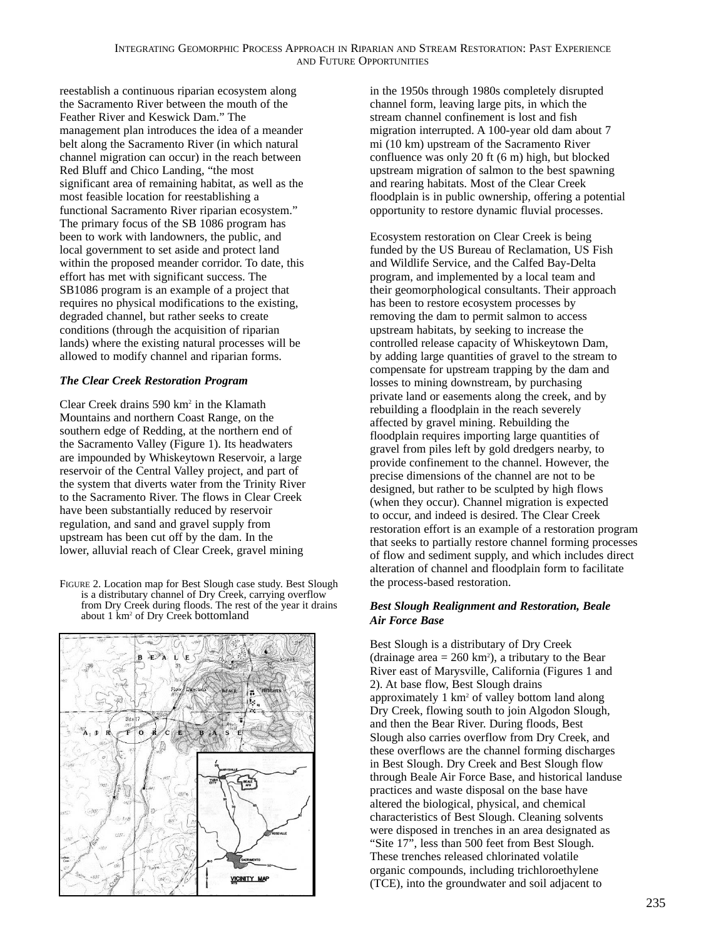reestablish a continuous riparian ecosystem along the Sacramento River between the mouth of the Feather River and Keswick Dam." The management plan introduces the idea of a meander belt along the Sacramento River (in which natural channel migration can occur) in the reach between Red Bluff and Chico Landing, "the most significant area of remaining habitat, as well as the most feasible location for reestablishing a functional Sacramento River riparian ecosystem." The primary focus of the SB 1086 program has been to work with landowners, the public, and local government to set aside and protect land within the proposed meander corridor. To date, this effort has met with significant success. The SB1086 program is an example of a project that requires no physical modifications to the existing, degraded channel, but rather seeks to create conditions (through the acquisition of riparian lands) where the existing natural processes will be allowed to modify channel and riparian forms.

# *The Clear Creek Restoration Program*

Clear Creek drains 590 km2 in the Klamath Mountains and northern Coast Range, on the southern edge of Redding, at the northern end of the Sacramento Valley (Figure 1). Its headwaters are impounded by Whiskeytown Reservoir, a large reservoir of the Central Valley project, and part of the system that diverts water from the Trinity River to the Sacramento River. The flows in Clear Creek have been substantially reduced by reservoir regulation, and sand and gravel supply from upstream has been cut off by the dam. In the lower, alluvial reach of Clear Creek, gravel mining

FIGURE 2. Location map for Best Slough case study. Best Slough is a distributary channel of Dry Creek, carrying overflow from Dry Creek during floods. The rest of the year it drains about 1 km2 of Dry Creek bottomland



in the 1950s through 1980s completely disrupted channel form, leaving large pits, in which the stream channel confinement is lost and fish migration interrupted. A 100-year old dam about 7 mi (10 km) upstream of the Sacramento River confluence was only 20 ft (6 m) high, but blocked upstream migration of salmon to the best spawning and rearing habitats. Most of the Clear Creek floodplain is in public ownership, offering a potential opportunity to restore dynamic fluvial processes.

Ecosystem restoration on Clear Creek is being funded by the US Bureau of Reclamation, US Fish and Wildlife Service, and the Calfed Bay-Delta program, and implemented by a local team and their geomorphological consultants. Their approach has been to restore ecosystem processes by removing the dam to permit salmon to access upstream habitats, by seeking to increase the controlled release capacity of Whiskeytown Dam, by adding large quantities of gravel to the stream to compensate for upstream trapping by the dam and losses to mining downstream, by purchasing private land or easements along the creek, and by rebuilding a floodplain in the reach severely affected by gravel mining. Rebuilding the floodplain requires importing large quantities of gravel from piles left by gold dredgers nearby, to provide confinement to the channel. However, the precise dimensions of the channel are not to be designed, but rather to be sculpted by high flows (when they occur). Channel migration is expected to occur, and indeed is desired. The Clear Creek restoration effort is an example of a restoration program that seeks to partially restore channel forming processes of flow and sediment supply, and which includes direct alteration of channel and floodplain form to facilitate the process-based restoration.

# *Best Slough Realignment and Restoration, Beale Air Force Base*

Best Slough is a distributary of Dry Creek (drainage area  $= 260 \text{ km}^2$ ), a tributary to the Bear River east of Marysville, California (Figures 1 and 2). At base flow, Best Slough drains approximately 1 km2 of valley bottom land along Dry Creek, flowing south to join Algodon Slough, and then the Bear River. During floods, Best Slough also carries overflow from Dry Creek, and these overflows are the channel forming discharges in Best Slough. Dry Creek and Best Slough flow through Beale Air Force Base, and historical landuse practices and waste disposal on the base have altered the biological, physical, and chemical characteristics of Best Slough. Cleaning solvents were disposed in trenches in an area designated as "Site 17", less than 500 feet from Best Slough. These trenches released chlorinated volatile organic compounds, including trichloroethylene (TCE), into the groundwater and soil adjacent to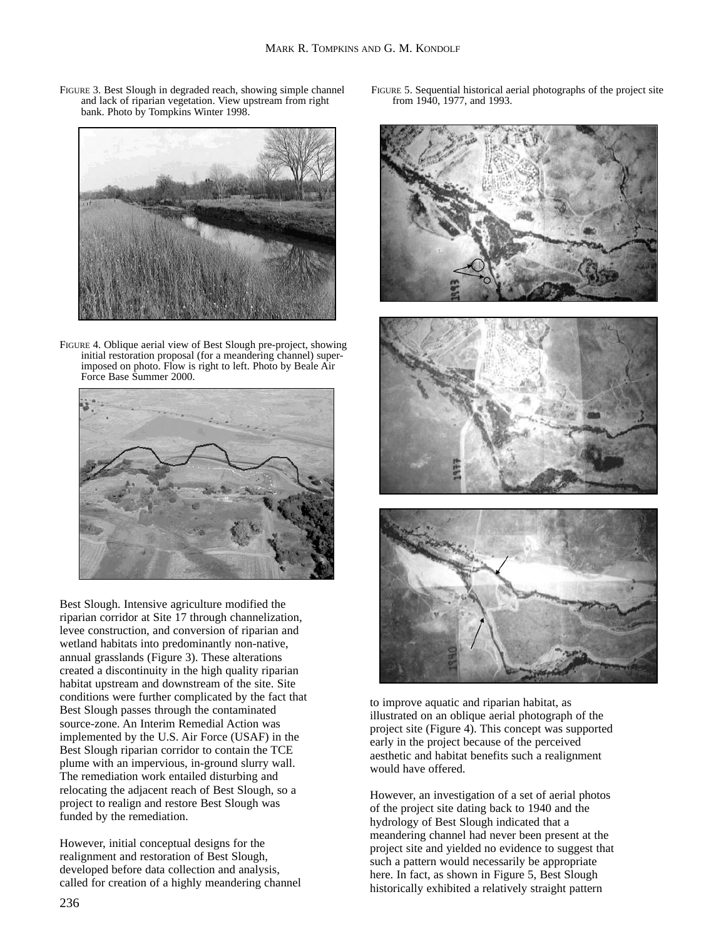FIGURE 3. Best Slough in degraded reach, showing simple channel and lack of riparian vegetation. View upstream from right bank. Photo by Tompkins Winter 1998.



FIGURE 4. Oblique aerial view of Best Slough pre-project, showing initial restoration proposal (for a meandering channel) superimposed on photo. Flow is right to left. Photo by Beale Air Force Base Summer 2000.



Best Slough. Intensive agriculture modified the riparian corridor at Site 17 through channelization, levee construction, and conversion of riparian and wetland habitats into predominantly non-native, annual grasslands (Figure 3). These alterations created a discontinuity in the high quality riparian habitat upstream and downstream of the site. Site conditions were further complicated by the fact that Best Slough passes through the contaminated source-zone. An Interim Remedial Action was implemented by the U.S. Air Force (USAF) in the Best Slough riparian corridor to contain the TCE plume with an impervious, in-ground slurry wall. The remediation work entailed disturbing and relocating the adjacent reach of Best Slough, so a project to realign and restore Best Slough was funded by the remediation.

However, initial conceptual designs for the realignment and restoration of Best Slough, developed before data collection and analysis, called for creation of a highly meandering channel FIGURE 5. Sequential historical aerial photographs of the project site from 1940, 1977, and 1993.



to improve aquatic and riparian habitat, as illustrated on an oblique aerial photograph of the project site (Figure 4). This concept was supported early in the project because of the perceived aesthetic and habitat benefits such a realignment would have offered.

However, an investigation of a set of aerial photos of the project site dating back to 1940 and the hydrology of Best Slough indicated that a meandering channel had never been present at the project site and yielded no evidence to suggest that such a pattern would necessarily be appropriate here. In fact, as shown in Figure 5, Best Slough historically exhibited a relatively straight pattern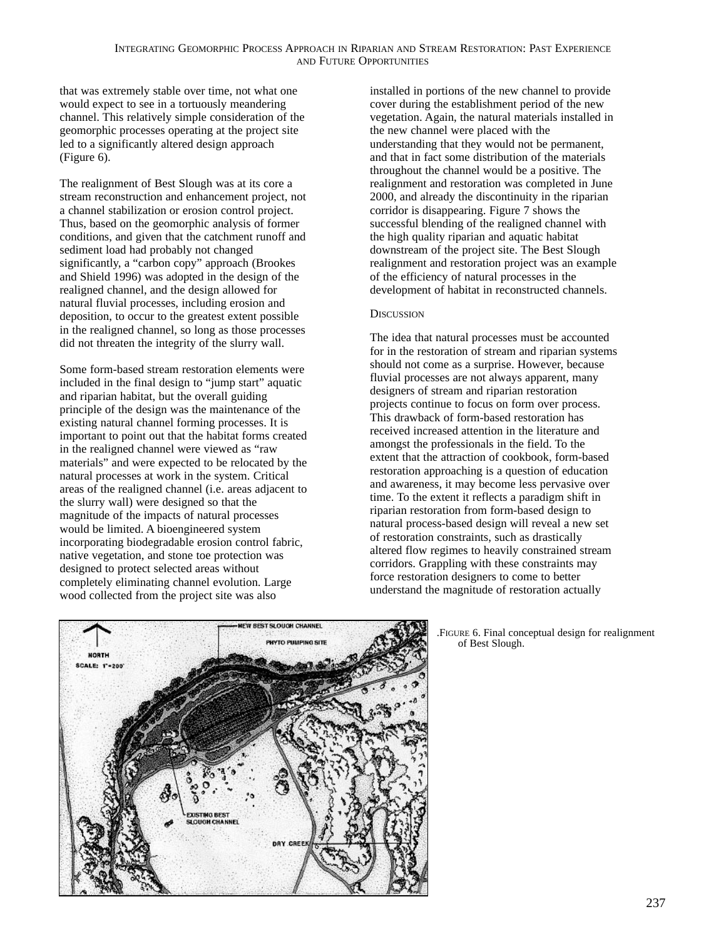that was extremely stable over time, not what one would expect to see in a tortuously meandering channel. This relatively simple consideration of the geomorphic processes operating at the project site led to a significantly altered design approach (Figure 6).

The realignment of Best Slough was at its core a stream reconstruction and enhancement project, not a channel stabilization or erosion control project. Thus, based on the geomorphic analysis of former conditions, and given that the catchment runoff and sediment load had probably not changed significantly, a "carbon copy" approach (Brookes and Shield 1996) was adopted in the design of the realigned channel, and the design allowed for natural fluvial processes, including erosion and deposition, to occur to the greatest extent possible in the realigned channel, so long as those processes did not threaten the integrity of the slurry wall.

Some form-based stream restoration elements were included in the final design to "jump start" aquatic and riparian habitat, but the overall guiding principle of the design was the maintenance of the existing natural channel forming processes. It is important to point out that the habitat forms created in the realigned channel were viewed as "raw materials" and were expected to be relocated by the natural processes at work in the system. Critical areas of the realigned channel (i.e. areas adjacent to the slurry wall) were designed so that the magnitude of the impacts of natural processes would be limited. A bioengineered system incorporating biodegradable erosion control fabric, native vegetation, and stone toe protection was designed to protect selected areas without completely eliminating channel evolution. Large wood collected from the project site was also

installed in portions of the new channel to provide cover during the establishment period of the new vegetation. Again, the natural materials installed in the new channel were placed with the understanding that they would not be permanent, and that in fact some distribution of the materials throughout the channel would be a positive. The realignment and restoration was completed in June 2000, and already the discontinuity in the riparian corridor is disappearing. Figure 7 shows the successful blending of the realigned channel with the high quality riparian and aquatic habitat downstream of the project site. The Best Slough realignment and restoration project was an example of the efficiency of natural processes in the development of habitat in reconstructed channels.

# **DISCUSSION**

The idea that natural processes must be accounted for in the restoration of stream and riparian systems should not come as a surprise. However, because fluvial processes are not always apparent, many designers of stream and riparian restoration projects continue to focus on form over process. This drawback of form-based restoration has received increased attention in the literature and amongst the professionals in the field. To the extent that the attraction of cookbook, form-based restoration approaching is a question of education and awareness, it may become less pervasive over time. To the extent it reflects a paradigm shift in riparian restoration from form-based design to natural process-based design will reveal a new set of restoration constraints, such as drastically altered flow regimes to heavily constrained stream corridors. Grappling with these constraints may force restoration designers to come to better understand the magnitude of restoration actually

> .FIGURE 6. Final conceptual design for realignment of Best Slough.

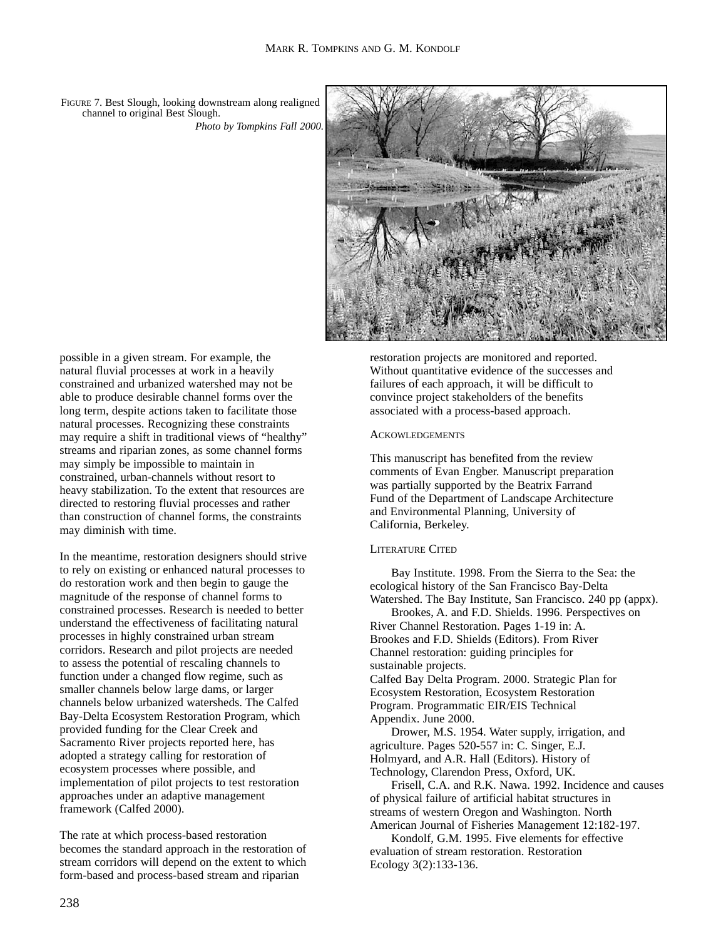FIGURE 7. Best Slough, looking downstream along realigned channel to original Best Slough. *Photo by Tompkins Fall 2000.*



possible in a given stream. For example, the natural fluvial processes at work in a heavily constrained and urbanized watershed may not be able to produce desirable channel forms over the long term, despite actions taken to facilitate those natural processes. Recognizing these constraints may require a shift in traditional views of "healthy" streams and riparian zones, as some channel forms may simply be impossible to maintain in constrained, urban-channels without resort to heavy stabilization. To the extent that resources are directed to restoring fluvial processes and rather than construction of channel forms, the constraints may diminish with time.

In the meantime, restoration designers should strive to rely on existing or enhanced natural processes to do restoration work and then begin to gauge the magnitude of the response of channel forms to constrained processes. Research is needed to better understand the effectiveness of facilitating natural processes in highly constrained urban stream corridors. Research and pilot projects are needed to assess the potential of rescaling channels to function under a changed flow regime, such as smaller channels below large dams, or larger channels below urbanized watersheds. The Calfed Bay-Delta Ecosystem Restoration Program, which provided funding for the Clear Creek and Sacramento River projects reported here, has adopted a strategy calling for restoration of ecosystem processes where possible, and implementation of pilot projects to test restoration approaches under an adaptive management framework (Calfed 2000).

The rate at which process-based restoration becomes the standard approach in the restoration of stream corridors will depend on the extent to which form-based and process-based stream and riparian

restoration projects are monitored and reported. Without quantitative evidence of the successes and failures of each approach, it will be difficult to convince project stakeholders of the benefits associated with a process-based approach.

#### **ACKOWLEDGEMENTS**

This manuscript has benefited from the review comments of Evan Engber. Manuscript preparation was partially supported by the Beatrix Farrand Fund of the Department of Landscape Architecture and Environmental Planning, University of California, Berkeley.

## LITERATURE CITED

Bay Institute. 1998. From the Sierra to the Sea: the ecological history of the San Francisco Bay-Delta Watershed. The Bay Institute, San Francisco. 240 pp (appx).

Brookes, A. and F.D. Shields. 1996. Perspectives on River Channel Restoration. Pages 1-19 in: A. Brookes and F.D. Shields (Editors). From River Channel restoration: guiding principles for sustainable projects.

Calfed Bay Delta Program. 2000. Strategic Plan for Ecosystem Restoration, Ecosystem Restoration Program. Programmatic EIR/EIS Technical Appendix. June 2000.

Drower, M.S. 1954. Water supply, irrigation, and agriculture. Pages 520-557 in: C. Singer, E.J. Holmyard, and A.R. Hall (Editors). History of Technology, Clarendon Press, Oxford, UK.

Frisell, C.A. and R.K. Nawa. 1992. Incidence and causes of physical failure of artificial habitat structures in streams of western Oregon and Washington. North American Journal of Fisheries Management 12:182-197.

Kondolf, G.M. 1995. Five elements for effective evaluation of stream restoration. Restoration Ecology 3(2):133-136.